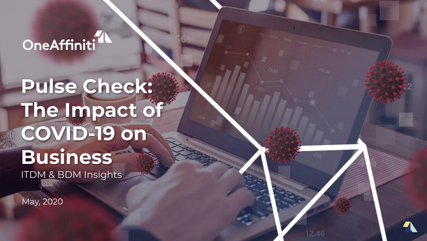## OneAffiniti<sup>11</sup>

# **Pulse Check: The Impact of COVID-19 on Business**  ITDM & BDM Insights

May, 2020

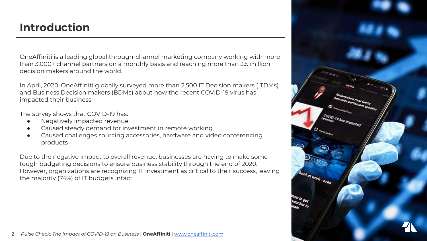### **Introduction**

OneAffiniti is a leading global through-channel marketing company working with more than 3,000+ channel partners on a monthly basis and reaching more than 3.5 million decision makers around the world.

In April, 2020, OneAffiniti globally surveyed more than 2,500 IT Decision makers (ITDMs) and Business Decision makers (BDMs) about how the recent COVID-19 virus has impacted their business.

The survey shows that COVID-19 has:

- Negatively impacted revenue
- Caused steady demand for investment in remote working
- Caused challenges sourcing accessories, hardware and video conferencing products

Due to the negative impact to overall revenue, businesses are having to make some tough budgeting decisions to ensure business stability through the end of 2020. However, organizations are recognizing IT investment as critical to their success, leaving the majority (74%) of IT budgets intact.



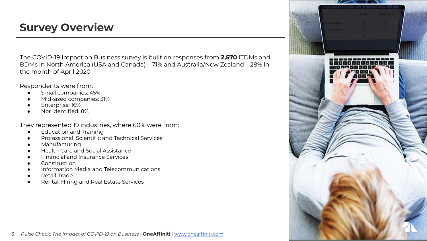### **Survey Overview**

The COVID-19 Impact on Business survey is built on responses from **2,570** ITDMs and BDMs in North America (USA and Canada) – 71% and Australia/New Zealand – 28% in the month of April 2020.

Respondents were from:

- Small companies: 45%
- Mid-sized companies: 31%
- Enterprise: 16%
- Not identified: 8%

They represented 19 industries, where 60% were from:

- **Education and Training**
- Professional, Scientific and Technical Services
- Manufacturing
- Health Care and Social Assistance
- **Financial and Insurance Services**
- Construction
- Information Media and Telecommunications
- **Retail Trade**
- Rental, Hiring and Real Estate Services

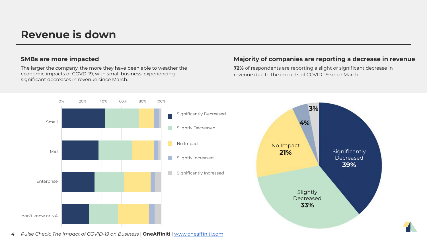#### **Revenue is down**

The larger the company, the more they have been able to weather the economic impacts of COVD-19, with small business' experiencing significant decreases in revenue since March.

#### **SMBs are more impacted Majority of companies are reporting a decrease in revenue**

**72%** of respondents are reporting a slight or significant decrease in revenue due to the impacts of COVID-19 since March.





4 *Pulse Check: The Impact of COVID-19 on Business* | **OneAffiniti** | [www.oneaffiniti.com](http://www.oneaffiniti.com)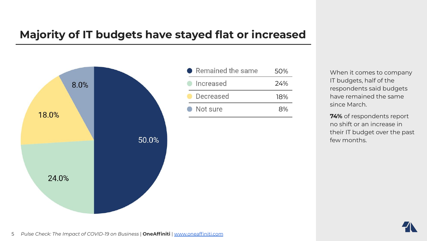### **Majority of IT budgets have stayed flat or increased**



| • Remained the same | 50% |
|---------------------|-----|
| lncreased           | 24% |
| Decreased           | 18% |
| • Not sure          | 8%  |

When it comes to company IT budgets, half of the respondents said budgets have remained the same since March.

**74%** of respondents report no shift or an increase in their IT budget over the past few months.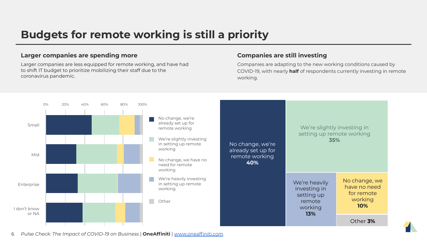## **Budgets for remote working is still a priority**

#### **Larger companies are spending more Companies are still investing**

Larger companies are less equipped for remote working, and have had to shift IT budget to prioritize mobilizing their staff due to the coronavirus pandemic.

Companies are adapting to the new working conditions caused by COVID-19, with nearly **half** of respondents currently investing in remote working.



6 *Pulse Check: The Impact of COVID-19 on Business* | **OneAffiniti** | [www.oneaffiniti.com](http://www.oneaffiniti.com)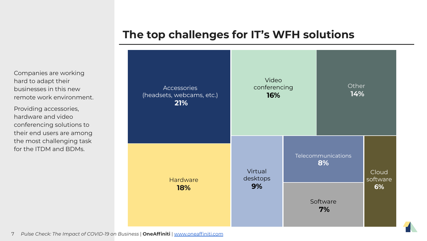#### **The top challenges for IT's WFH solutions**

**Accessories** (headsets, webcams, etc.)  **21%** Video conferencing **16% Other 14% Hardware 18%** Virtual desktops **9%** Telecommunications **8%** Software  **7%** Cloud software **6%**

Companies are working hard to adapt their businesses in this new remote work environment.

Providing accessories, hardware and video conferencing solutions to their end users are among the most challenging task for the ITDM and BDMs.